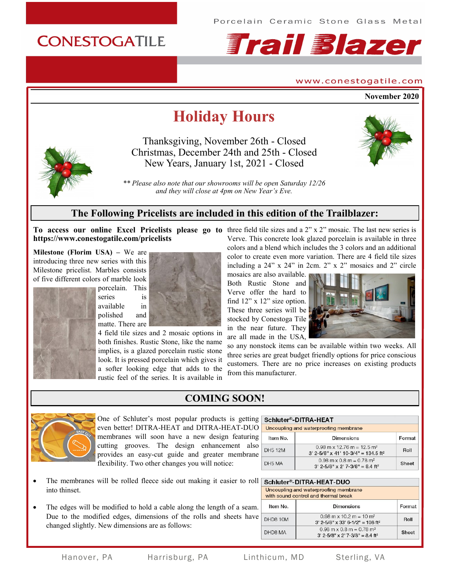

#### www.conestogatile.com

**November 2020**

# **Holiday Hours**

Thanksgiving, November 26th - Closed Christmas, December 24th and 25th - Closed New Years, January 1st, 2021 - Closed



*\*\* Please also note that our showrooms will be open Saturday 12/26 and they will close at 4pm on New Year's Eve.*

# **The Following Pricelists are included in this edition of the Trailblazer:**

**https://www.conestogatile.com/pricelists**

**Milestone (Florim USA) –** We are introducing three new series with this Milestone pricelist. Marbles consists of five different colors of marble look



porcelain. This series is available in polished and matte. There are



4 field tile sizes and 2 mosaic options in both finishes. Rustic Stone, like the name implies, is a glazed porcelain rustic stone look. It is pressed porcelain which gives it a softer looking edge that adds to the rustic feel of the series. It is available in

**To access our online Excel Pricelists please go to**  three field tile sizes and a 2" x 2" mosaic. The last new series is Verve. This concrete look glazed porcelain is available in three colors and a blend which includes the 3 colors and an additional color to create even more variation. There are 4 field tile sizes including a 24" x 24" in 2cm. 2" x 2" mosaics and 2" circle

> mosaics are also available. Both Rustic Stone and Verve offer the hard to find 12" x 12" size option. These three series will be stocked by Conestoga Tile in the near future. They are all made in the USA,



so any nonstock items can be available within two weeks. All three series are great budget friendly options for price conscious customers. There are no price increases on existing products from this manufacturer.



**COMING SOON!**

#### One of Schluter's most popular products is getting even better! DITRA-HEAT and DITRA-HEAT-DUO membranes will soon have a new design featuring cutting grooves. The design enhancement also provides an easy-cut guide and greater membrane flexibility. Two other changes you will notice:

| Schluter®-DITRA-HEAT<br>Uncoupling and waterproofing membrane |                                                                                               |        |
|---------------------------------------------------------------|-----------------------------------------------------------------------------------------------|--------|
| Item No.                                                      | <b>Dimensions</b>                                                                             | Format |
| <b>DH5 12M</b>                                                | $0.98$ m x 12.76 m = 12.5 m <sup>2</sup><br>$3'$ 2-5/8" x 41' 10-3/4" = 134.5 ft <sup>2</sup> | Roll   |
| DH5 MA                                                        | $0.98$ m x $0.8$ m = $0.78$ m <sup>2</sup><br>$3'$ 2-5/8" x 2' 7-3/8" = 8.4 ft <sup>2</sup>   | Sheet  |

- The membranes will be rolled fleece side out making it easier to roll Schluter®-DITRA-HEAT-DUO into thinset.
- The edges will be modified to hold a cable along the length of a seam. Due to the modified edges, dimensions of the rolls and sheets have changed slightly. New dimensions are as follows:

|          | Uncoupling and waterproofing membrane<br>with sound control and thermal break               |        |
|----------|---------------------------------------------------------------------------------------------|--------|
| Item No. | Dimensions                                                                                  | Format |
| DHD8 10M | $0.98$ m x 10.2 m = 10 m <sup>2</sup><br>$3'$ 2-5/8" x 33' 6-1/2" = 108 ft <sup>2</sup>     | Roll   |
| DHD8 MA  | $0.98$ m x $0.8$ m = $0.78$ m <sup>2</sup><br>$3'$ 2-5/8" x 2' 7-3/8" = 8.4 ft <sup>2</sup> | Sheet  |